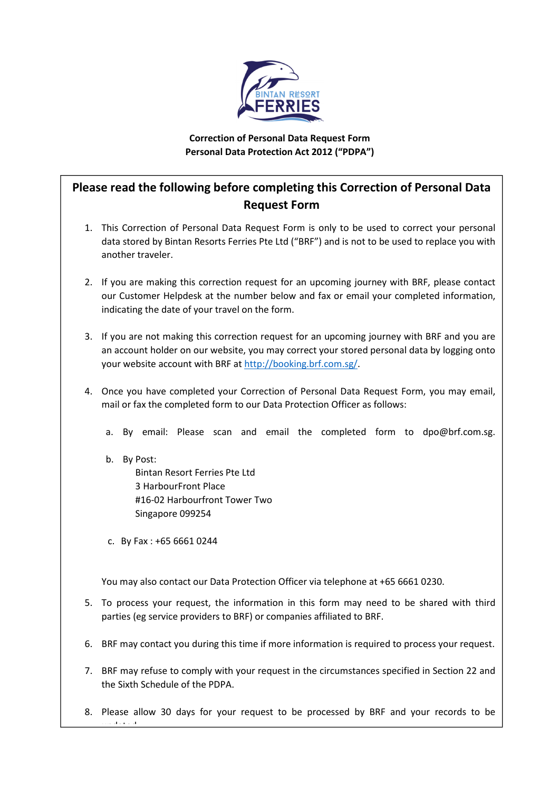

## Correction of Personal Data Request Form Personal Data Protection Act 2012 ("PDPA")

## Please read the following before completing this Correction of Personal Data Request Form

- 1. This Correction of Personal Data Request Form is only to be used to correct your personal data stored by Bintan Resorts Ferries Pte Ltd ("BRF") and is not to be used to replace you with another traveler.
- 2. If you are making this correction request for an upcoming journey with BRF, please contact our Customer Helpdesk at the number below and fax or email your completed information, indicating the date of your travel on the form.
- 3. If you are not making this correction request for an upcoming journey with BRF and you are an account holder on our website, you may correct your stored personal data by logging onto your website account with BRF at http://booking.brf.com.sg/.
- 4. Once you have completed your Correction of Personal Data Request Form, you may email, mail or fax the completed form to our Data Protection Officer as follows:
	- a. By email: Please scan and email the completed form to dpo@brf.com.sg.
	- b. By Post: Bintan Resort Ferries Pte Ltd 3 HarbourFront Place #16-02 Harbourfront Tower Two Singapore 099254
	- c. By Fax : +65 6661 0244

You may also contact our Data Protection Officer via telephone at +65 6661 0230.

- 5. To process your request, the information in this form may need to be shared with third parties (eg service providers to BRF) or companies affiliated to BRF.
- 6. BRF may contact you during this time if more information is required to process your request.
- 7. BRF may refuse to comply with your request in the circumstances specified in Section 22 and the Sixth Schedule of the PDPA.
- 8. Please allow 30 days for your request to be processed by BRF and your records to be updated.